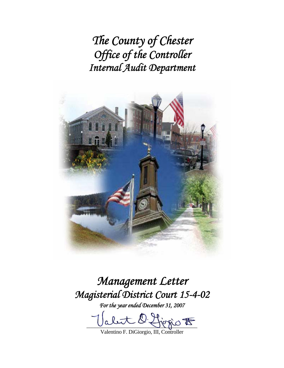*The County of Chester Office of the Controller Internal Audit Department* 



*Management Letter Magisterial District Court 15-4-02* 

*For the year ended December 31, 2007* 

let O. Higgio to

Valentino F. DiGiorgio, III, Controller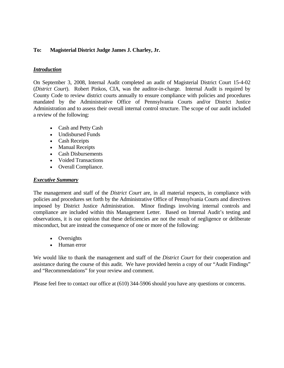## **To: Magisterial District Judge James J. Charley, Jr.**

### *Introduction*

On September 3, 2008, Internal Audit completed an audit of Magisterial District Court 15-4-02 (*District Court*). Robert Pinkos, CIA, was the auditor-in-charge. Internal Audit is required by County Code to review district courts annually to ensure compliance with policies and procedures mandated by the Administrative Office of Pennsylvania Courts and/or District Justice Administration and to assess their overall internal control structure. The scope of our audit included a review of the following:

- Cash and Petty Cash
- Undisbursed Funds
- Cash Receipts
- Manual Receipts
- Cash Disbursements
- Voided Transactions
- Overall Compliance.

#### *Executive Summary*

The management and staff of the *District Court* are, in all material respects, in compliance with policies and procedures set forth by the Administrative Office of Pennsylvania Courts and directives imposed by District Justice Administration. Minor findings involving internal controls and compliance are included within this Management Letter. Based on Internal Audit's testing and observations, it is our opinion that these deficiencies are not the result of negligence or deliberate misconduct, but are instead the consequence of one or more of the following:

- Oversights
- Human error

We would like to thank the management and staff of the *District Court* for their cooperation and assistance during the course of this audit. We have provided herein a copy of our "Audit Findings" and "Recommendations" for your review and comment.

Please feel free to contact our office at (610) 344-5906 should you have any questions or concerns.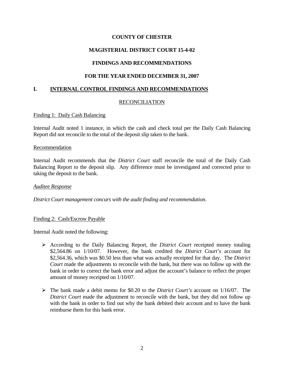# **MAGISTERIAL DISTRICT COURT 15-4-02**

# **FINDINGS AND RECOMMENDATIONS**

## **FOR THE YEAR ENDED DECEMBER 31, 2007**

### **I. INTERNAL CONTROL FINDINGS AND RECOMMENDATIONS**

### RECONCILIATION

#### Finding 1: Daily Cash Balancing

Internal Audit noted 1 instance, in which the cash and check total per the Daily Cash Balancing Report did not reconcile to the total of the deposit slip taken to the bank.

#### **Recommendation**

Internal Audit recommends that the *District Court* staff reconcile the total of the Daily Cash Balancing Report to the deposit slip. Any difference must be investigated and corrected prior to taking the deposit to the bank.

#### *Auditee Response*

*District Court management concurs with the audit finding and recommendation.* 

### Finding 2: Cash/Escrow Payable

Internal Audit noted the following:

- ¾ According to the Daily Balancing Report, the *District Court* receipted money totaling \$2,564.86 on 1/10/07. However, the bank credited the *District Court's* account for \$2,564.36, which was \$0.50 less than what was actually receipted for that day. The *District Court* made the adjustments to reconcile with the bank, but there was no follow up with the bank in order to correct the bank error and adjust the account's balance to reflect the proper amount of money receipted on 1/10/07.
- ¾ The bank made a debit memo for \$0.20 to the *District Court's* account on 1/16/07. The *District Court* made the adjustment to reconcile with the bank, but they did not follow up with the bank in order to find out why the bank debited their account and to have the bank reimburse them for this bank error.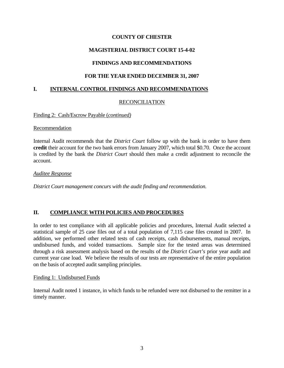# **MAGISTERIAL DISTRICT COURT 15-4-02**

# **FINDINGS AND RECOMMENDATIONS**

# **FOR THE YEAR ENDED DECEMBER 31, 2007**

# **I. INTERNAL CONTROL FINDINGS AND RECOMMENDATIONS**

# RECONCILIATION

Finding 2: Cash/Escrow Payable (*continued)*

### Recommendation

Internal Audit recommends that the *District Court* follow up with the bank in order to have them **credit** their account for the two bank errors from January 2007, which total \$0.70. Once the account is credited by the bank the *District Court* should then make a credit adjustment to reconcile the account.

### *Auditee Response*

*District Court management concurs with the audit finding and recommendation.*

# **II. COMPLIANCE WITH POLICIES AND PROCEDURES**

In order to test compliance with all applicable policies and procedures, Internal Audit selected a statistical sample of 25 case files out of a total population of 7,115 case files created in 2007. In addition, we performed other related tests of cash receipts, cash disbursements, manual receipts, undisbursed funds, and voided transactions. Sample size for the tested areas was determined through a risk assessment analysis based on the results of the *District Court's* prior year audit and current year case load. We believe the results of our tests are representative of the entire population on the basis of accepted audit sampling principles.

### Finding 1: Undisbursed Funds

Internal Audit noted 1 instance, in which funds to be refunded were not disbursed to the remitter in a timely manner.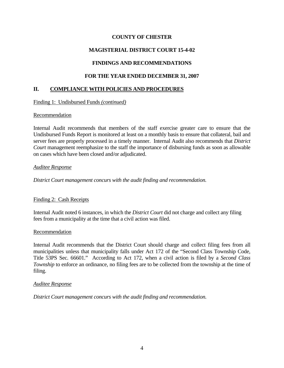# **MAGISTERIAL DISTRICT COURT 15-4-02**

# **FINDINGS AND RECOMMENDATIONS**

# **FOR THE YEAR ENDED DECEMBER 31, 2007**

### **II. COMPLIANCE WITH POLICIES AND PROCEDURES**

#### Finding 1: Undisbursed Funds *(continued)*

#### Recommendation

Internal Audit recommends that members of the staff exercise greater care to ensure that the Undisbursed Funds Report is monitored at least on a monthly basis to ensure that collateral, bail and server fees are properly processed in a timely manner. Internal Audit also recommends that *District Court* management reemphasize to the staff the importance of disbursing funds as soon as allowable on cases which have been closed and/or adjudicated.

#### *Auditee Response*

*District Court management concurs with the audit finding and recommendation.* 

### Finding 2: Cash Receipts

Internal Audit noted 6 instances, in which the *District Court* did not charge and collect any filing fees from a municipality at the time that a civil action was filed.

#### Recommendation

Internal Audit recommends that the District Court should charge and collect filing fees from all municipalities unless that municipality falls under Act 172 of the "Second Class Township Code, Title 53PS Sec. 66601." According to Act 172, when a civil action is filed by a *Second Class Township* to enforce an ordinance, no filing fees are to be collected from the township at the time of filing.

#### *Auditee Response*

*District Court management concurs with the audit finding and recommendation.*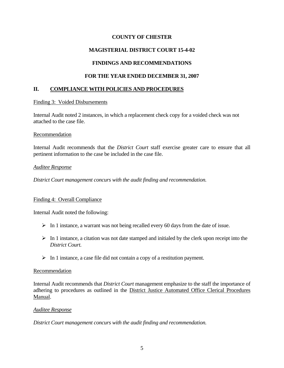# **MAGISTERIAL DISTRICT COURT 15-4-02**

# **FINDINGS AND RECOMMENDATIONS**

### **FOR THE YEAR ENDED DECEMBER 31, 2007**

### **II. COMPLIANCE WITH POLICIES AND PROCEDURES**

#### Finding 3: Voided Disbursements

Internal Audit noted 2 instances, in which a replacement check copy for a voided check was not attached to the case file.

#### Recommendation

Internal Audit recommends that the *District Court* staff exercise greater care to ensure that all pertinent information to the case be included in the case file.

#### *Auditee Response*

*District Court management concurs with the audit finding and recommendation.*

### Finding 4: Overall Compliance

Internal Audit noted the following:

- $\triangleright$  In 1 instance, a warrant was not being recalled every 60 days from the date of issue.
- $\triangleright$  In 1 instance, a citation was not date stamped and initialed by the clerk upon receipt into the *District Court.*
- $\triangleright$  In 1 instance, a case file did not contain a copy of a restitution payment.

#### Recommendation

Internal Audit recommends that *District Court* management emphasize to the staff the importance of adhering to procedures as outlined in the District Justice Automated Office Clerical Procedures Manual.

#### *Auditee Response*

*District Court management concurs with the audit finding and recommendation.*